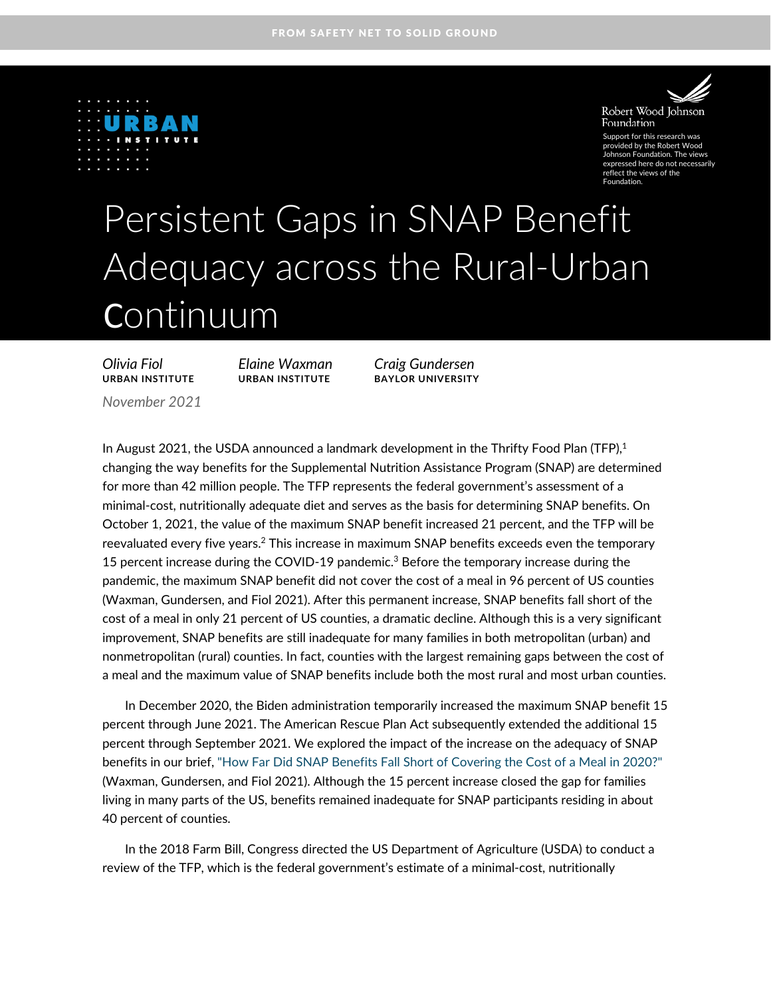



Robert Wood Johnson Foundation

Support for this research was provided by the Robert Wood Johnson Foundation. The views expressed here do not necessarily reflect the views of the Foundation.

# Persistent Gaps in SNAP Benefit Adequacy across the Rural-Urban Continuum

*Olivia Fiol Elaine Waxman Craig Gundersen* **URBAN INSTITUTE URBAN INSTITUTE BAYLOR UNIVERSITY**

*November 2021*

In August 2021, the USDA announced a landmark development in the Thrifty Food Plan (TFP), $1$ changing the way benefits for the Supplemental Nutrition Assistance Program (SNAP) are determined for more than 42 million people. The TFP represents the federal government's assessment of a minimal-cost, nutritionally adequate diet and serves as the basis for determining SNAP benefits. On October 1, 2021, the value of the maximum SNAP benefit increased 21 percent, and the TFP will be reevaluated every five years.<sup>2</sup> This increase in maximum SNAP benefits exceeds even the temporary 15 percent increase during the COVID-19 pandemic.<sup>3</sup> Before the temporary increase during the pandemic, the maximum SNAP benefit did not cover the cost of a meal in 96 percent of US counties (Waxman, Gundersen, and Fiol 2021). After this permanent increase, SNAP benefits fall short of the cost of a meal in only 21 percent of US counties, a dramatic decline. Although this is a very significant improvement, SNAP benefits are still inadequate for many families in both metropolitan (urban) and nonmetropolitan (rural) counties. In fact, counties with the largest remaining gaps between the cost of a meal and the maximum value of SNAP benefits include both the most rural and most urban counties.

In December 2020, the Biden administration temporarily increased the maximum SNAP benefit 15 percent through June 2021. The American Rescue Plan Act subsequently extended the additional 15 percent through September 2021. We explored the impact of the increase on the adequacy of SNAP benefits in our brief[, "How Far Did SNAP Benefits Fall Short of Covering the Cost of a Meal in 2020?"](https://www.urban.org/research/publication/how-far-did-snap-benefits-fall-short-covering-cost-meal-2020) (Waxman, Gundersen, and Fiol 2021). Although the 15 percent increase closed the gap for families living in many parts of the US, benefits remained inadequate for SNAP participants residing in about 40 percent of counties.

In the 2018 Farm Bill, Congress directed the US Department of Agriculture (USDA) to conduct a review of the TFP, which is the federal government's estimate of a minimal-cost, nutritionally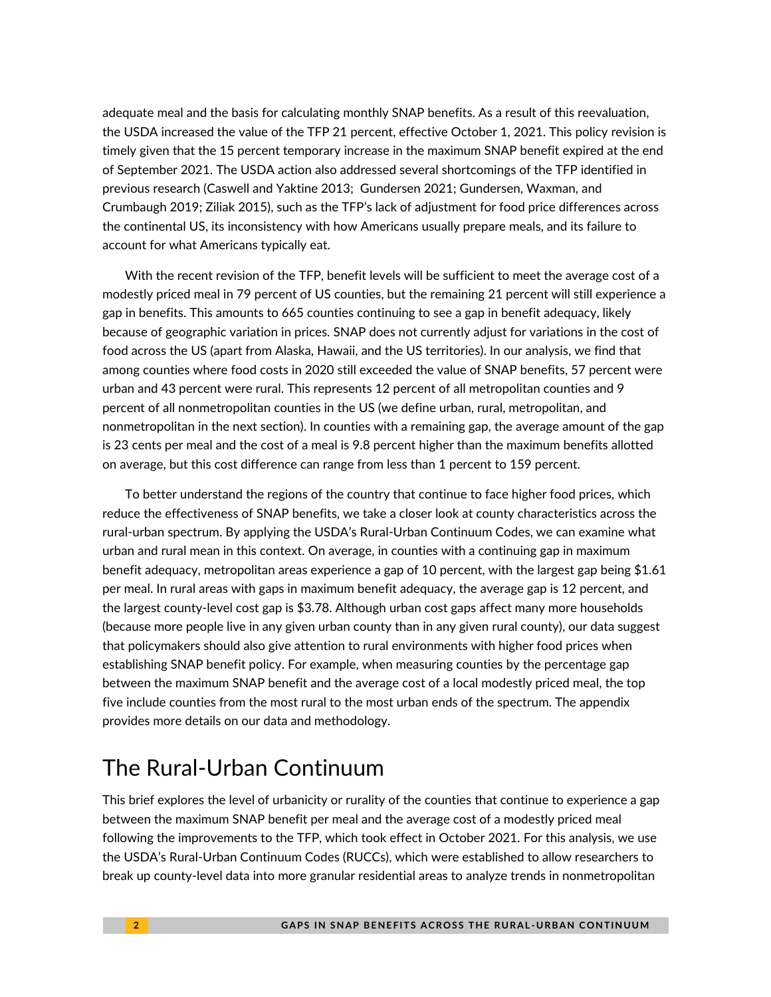adequate meal and the basis for calculating monthly SNAP benefits. As a result of this reevaluation, the USDA increased the value of the TFP 21 percent, effective October 1, 2021. This policy revision is timely given that the 15 percent temporary increase in the maximum SNAP benefit expired at the end of September 2021. The USDA action also addressed several shortcomings of the TFP identified in previous research (Caswell and Yaktine 2013; Gundersen 2021; Gundersen, Waxman, and Crumbaugh 2019; Ziliak 2015), such as the TFP's lack of adjustment for food price differences across the continental US, its inconsistency with how Americans usually prepare meals, and its failure to account for what Americans typically eat.

With the recent revision of the TFP, benefit levels will be sufficient to meet the average cost of a modestly priced meal in 79 percent of US counties, but the remaining 21 percent will still experience a gap in benefits. This amounts to 665 counties continuing to see a gap in benefit adequacy, likely because of geographic variation in prices. SNAP does not currently adjust for variations in the cost of food across the US (apart from Alaska, Hawaii, and the US territories). In our analysis, we find that among counties where food costs in 2020 still exceeded the value of SNAP benefits, 57 percent were urban and 43 percent were rural. This represents 12 percent of all metropolitan counties and 9 percent of all nonmetropolitan counties in the US (we define urban, rural, metropolitan, and nonmetropolitan in the next section). In counties with a remaining gap, the average amount of the gap is 23 cents per meal and the cost of a meal is 9.8 percent higher than the maximum benefits allotted on average, but this cost difference can range from less than 1 percent to 159 percent.

To better understand the regions of the country that continue to face higher food prices, which reduce the effectiveness of SNAP benefits, we take a closer look at county characteristics across the rural-urban spectrum. By applying the USDA's Rural-Urban Continuum Codes, we can examine what urban and rural mean in this context. On average, in counties with a continuing gap in maximum benefit adequacy, metropolitan areas experience a gap of 10 percent, with the largest gap being \$1.61 per meal. In rural areas with gaps in maximum benefit adequacy, the average gap is 12 percent, and the largest county-level cost gap is \$3.78. Although urban cost gaps affect many more households (because more people live in any given urban county than in any given rural county), our data suggest that policymakers should also give attention to rural environments with higher food prices when establishing SNAP benefit policy. For example, when measuring counties by the percentage gap between the maximum SNAP benefit and the average cost of a local modestly priced meal, the top five include counties from the most rural to the most urban ends of the spectrum. The appendix provides more details on our data and methodology.

# The Rural-Urban Continuum

This brief explores the level of urbanicity or rurality of the counties that continue to experience a gap between the maximum SNAP benefit per meal and the average cost of a modestly priced meal following the improvements to the TFP, which took effect in October 2021. For this analysis, we use the USDA's Rural-Urban Continuum Codes (RUCCs), which were established to allow researchers to break up county-level data into more granular residential areas to analyze trends in nonmetropolitan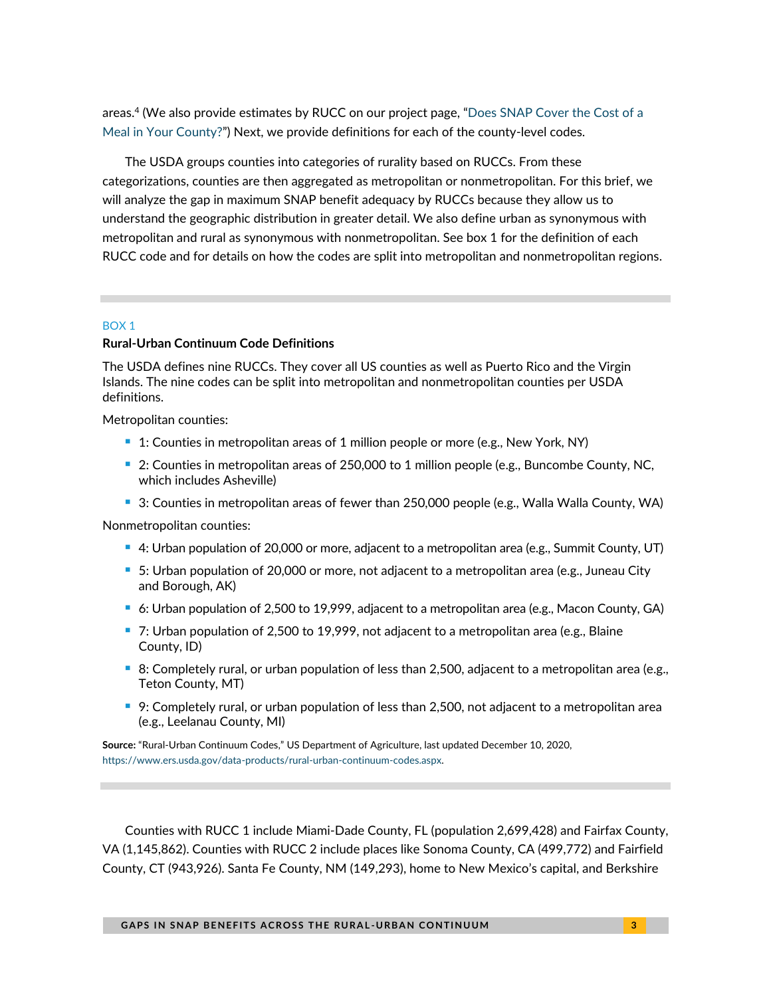areas.<sup>4</sup> (We also provide estimates by RUCC on our project page, "[Does SNAP Cover the Cost of a](https://www.urban.org/does-snap-cover-cost-meal-your-county)  [Meal in Your County?](https://www.urban.org/does-snap-cover-cost-meal-your-county)") Next, we provide definitions for each of the county-level codes.

The USDA groups counties into categories of rurality based on RUCCs. From these categorizations, counties are then aggregated as metropolitan or nonmetropolitan. For this brief, we will analyze the gap in maximum SNAP benefit adequacy by RUCCs because they allow us to understand the geographic distribution in greater detail. We also define urban as synonymous with metropolitan and rural as synonymous with nonmetropolitan. See box 1 for the definition of each RUCC code and for details on how the codes are split into metropolitan and nonmetropolitan regions.

#### BOX 1

### **Rural-Urban Continuum Code Definitions**

The USDA defines nine RUCCs. They cover all US counties as well as Puerto Rico and the Virgin Islands. The nine codes can be split into metropolitan and nonmetropolitan counties per USDA definitions.

Metropolitan counties:

- 1: Counties in metropolitan areas of 1 million people or more (e.g., New York, NY)
- 2: Counties in metropolitan areas of 250,000 to 1 million people (e.g., Buncombe County, NC, which includes Asheville)
- 3: Counties in metropolitan areas of fewer than 250,000 people (e.g., Walla Walla County, WA)

Nonmetropolitan counties:

- 4: Urban population of 20,000 or more, adjacent to a metropolitan area (e.g., Summit County, UT)
- 5: Urban population of 20,000 or more, not adjacent to a metropolitan area (e.g., Juneau City and Borough, AK)
- 6: Urban population of 2,500 to 19,999, adjacent to a metropolitan area (e.g., Macon County, GA)
- 7: Urban population of 2,500 to 19,999, not adjacent to a metropolitan area (e.g., Blaine County, ID)
- 8: Completely rural, or urban population of less than 2,500, adjacent to a metropolitan area (e.g., Teton County, MT)
- 9: Completely rural, or urban population of less than 2,500, not adjacent to a metropolitan area (e.g., Leelanau County, MI)

**Source:** "Rural-Urban Continuum Codes," US Department of Agriculture, last updated December 10, 2020, [https://www.ers.usda.gov/data-products/rural-urban-continuum-codes.aspx.](https://www.ers.usda.gov/data-products/rural-urban-continuum-codes.aspx) 

Counties with RUCC 1 include Miami-Dade County, FL (population 2,699,428) and Fairfax County, VA (1,145,862). Counties with RUCC 2 include places like Sonoma County, CA (499,772) and Fairfield County, CT (943,926). Santa Fe County, NM (149,293), home to New Mexico's capital, and Berkshire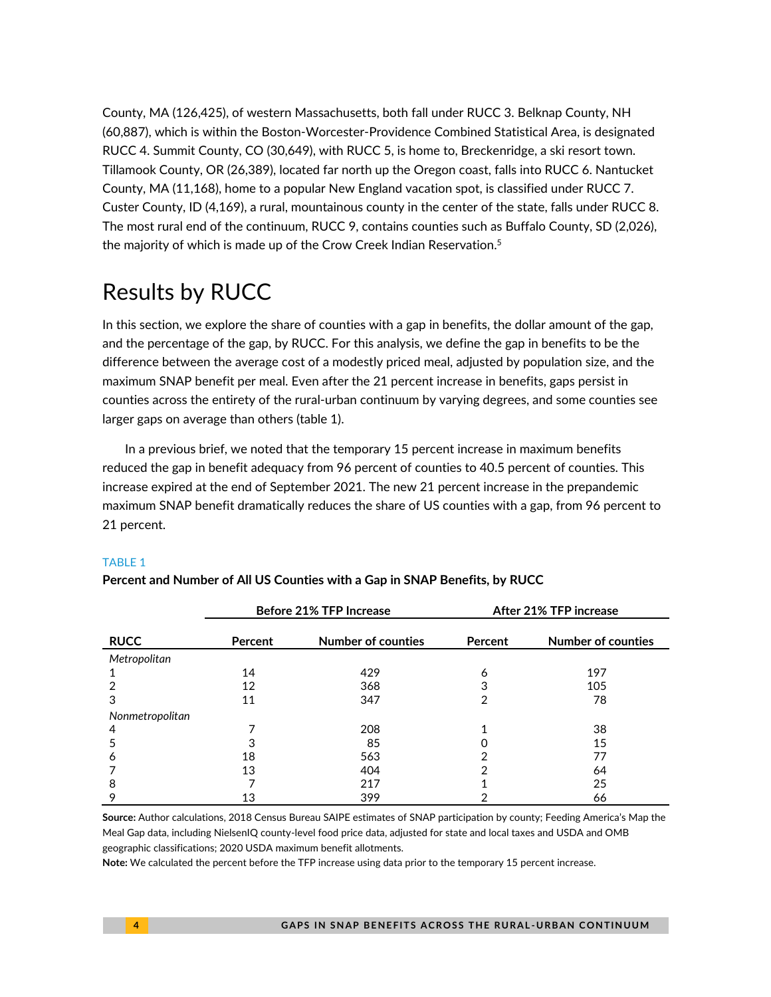County, MA (126,425), of western Massachusetts, both fall under RUCC 3. Belknap County, NH (60,887), which is within the Boston-Worcester-Providence Combined Statistical Area, is designated RUCC 4. Summit County, CO (30,649), with RUCC 5, is home to, Breckenridge, a ski resort town. Tillamook County, OR (26,389), located far north up the Oregon coast, falls into RUCC 6. Nantucket County, MA (11,168), home to a popular New England vacation spot, is classified under RUCC 7. Custer County, ID (4,169), a rural, mountainous county in the center of the state, falls under RUCC 8. The most rural end of the continuum, RUCC 9, contains counties such as Buffalo County, SD (2,026), the majority of which is made up of the Crow Creek Indian Reservation. 5

# Results by RUCC

In this section, we explore the share of counties with a gap in benefits, the dollar amount of the gap, and the percentage of the gap, by RUCC. For this analysis, we define the gap in benefits to be the difference between the average cost of a modestly priced meal, adjusted by population size, and the maximum SNAP benefit per meal. Even after the 21 percent increase in benefits, gaps persist in counties across the entirety of the rural-urban continuum by varying degrees, and some counties see larger gaps on average than others (table 1).

In a previous brief, we noted that the temporary 15 percent increase in maximum benefits reduced the gap in benefit adequacy from 96 percent of counties to 40.5 percent of counties. This increase expired at the end of September 2021. The new 21 percent increase in the prepandemic maximum SNAP benefit dramatically reduces the share of US counties with a gap, from 96 percent to 21 percent.

### TABLE 1

|                 | <b>Before 21% TFP Increase</b> |                           | After 21% TFP increase |                    |
|-----------------|--------------------------------|---------------------------|------------------------|--------------------|
| <b>RUCC</b>     | Percent                        | <b>Number of counties</b> | Percent                | Number of counties |
| Metropolitan    |                                |                           |                        |                    |
|                 | 14                             | 429                       | 6                      | 197                |
|                 | 12                             | 368                       | 3                      | 105                |
| 3               | 11                             | 347                       | 2                      | 78                 |
| Nonmetropolitan |                                |                           |                        |                    |
| 4               |                                | 208                       |                        | 38                 |
|                 | 3                              | 85                        |                        | 15                 |
| Ô               | 18                             | 563                       | າ                      | 77                 |
|                 | 13                             | 404                       | າ                      | 64                 |
| 8               |                                | 217                       |                        | 25                 |
| 9               | 13                             | 399                       | ኅ                      | 66                 |

**Percent and Number of All US Counties with a Gap in SNAP Benefits, by RUCC**

**Source:** Author calculations, 2018 Census Bureau SAIPE estimates of SNAP participation by county; Feeding America's Map the Meal Gap data, including NielsenIQ county-level food price data, adjusted for state and local taxes and USDA and OMB geographic classifications; 2020 USDA maximum benefit allotments.

**Note:** We calculated the percent before the TFP increase using data prior to the temporary 15 percent increase.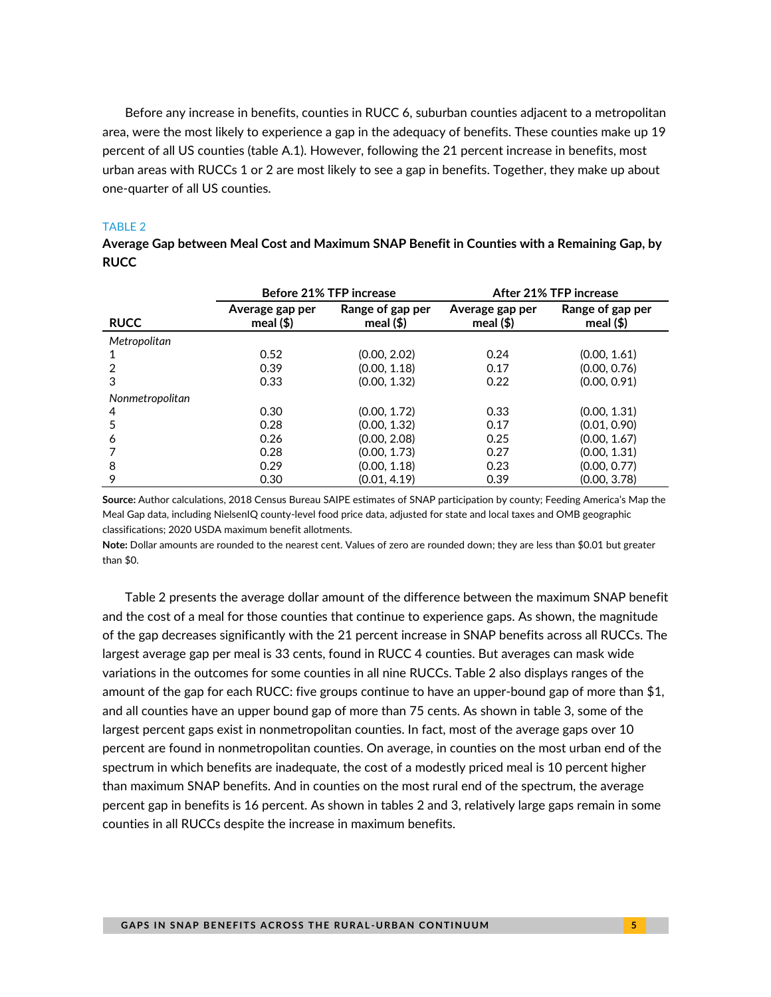Before any increase in benefits, counties in RUCC 6, suburban counties adjacent to a metropolitan area, were the most likely to experience a gap in the adequacy of benefits. These counties make up 19 percent of all US counties (table A.1). However, following the 21 percent increase in benefits, most urban areas with RUCCs 1 or 2 are most likely to see a gap in benefits. Together, they make up about one-quarter of all US counties.

### TABLE 2

|                 | <b>Before 21% TFP increase</b>  |                                  | After 21% TFP increase          |                                 |
|-----------------|---------------------------------|----------------------------------|---------------------------------|---------------------------------|
| <b>RUCC</b>     | Average gap per<br>meal $($ \$) | Range of gap per<br>meal $($ \$) | Average gap per<br>meal $($ \$) | Range of gap per<br>meal $(\$)$ |
| Metropolitan    |                                 |                                  |                                 |                                 |
|                 | 0.52                            | (0.00, 2.02)                     | 0.24                            | (0.00, 1.61)                    |
| $\overline{2}$  | 0.39                            | (0.00, 1.18)                     | 0.17                            | (0.00, 0.76)                    |
| 3               | 0.33                            | (0.00, 1.32)                     | 0.22                            | (0.00, 0.91)                    |
| Nonmetropolitan |                                 |                                  |                                 |                                 |
| 4               | 0.30                            | (0.00, 1.72)                     | 0.33                            | (0.00, 1.31)                    |
| 5               | 0.28                            | (0.00, 1.32)                     | 0.17                            | (0.01, 0.90)                    |
| 6               | 0.26                            | (0.00, 2.08)                     | 0.25                            | (0.00, 1.67)                    |
|                 | 0.28                            | (0.00, 1.73)                     | 0.27                            | (0.00, 1.31)                    |
| 8               | 0.29                            | (0.00, 1.18)                     | 0.23                            | (0.00, 0.77)                    |
| 9               | 0.30                            | (0.01, 4.19)                     | 0.39                            | (0.00, 3.78)                    |

**Average Gap between Meal Cost and Maximum SNAP Benefit in Counties with a Remaining Gap, by RUCC** 

**Source:** Author calculations, 2018 Census Bureau SAIPE estimates of SNAP participation by county; Feeding America's Map the Meal Gap data, including NielsenIQ county-level food price data, adjusted for state and local taxes and OMB geographic classifications; 2020 USDA maximum benefit allotments.

**Note:** Dollar amounts are rounded to the nearest cent. Values of zero are rounded down; they are less than \$0.01 but greater than \$0.

Table 2 presents the average dollar amount of the difference between the maximum SNAP benefit and the cost of a meal for those counties that continue to experience gaps. As shown, the magnitude of the gap decreases significantly with the 21 percent increase in SNAP benefits across all RUCCs. The largest average gap per meal is 33 cents, found in RUCC 4 counties. But averages can mask wide variations in the outcomes for some counties in all nine RUCCs. Table 2 also displays ranges of the amount of the gap for each RUCC: five groups continue to have an upper-bound gap of more than \$1, and all counties have an upper bound gap of more than 75 cents. As shown in table 3, some of the largest percent gaps exist in nonmetropolitan counties. In fact, most of the average gaps over 10 percent are found in nonmetropolitan counties. On average, in counties on the most urban end of the spectrum in which benefits are inadequate, the cost of a modestly priced meal is 10 percent higher than maximum SNAP benefits. And in counties on the most rural end of the spectrum, the average percent gap in benefits is 16 percent. As shown in tables 2 and 3, relatively large gaps remain in some counties in all RUCCs despite the increase in maximum benefits.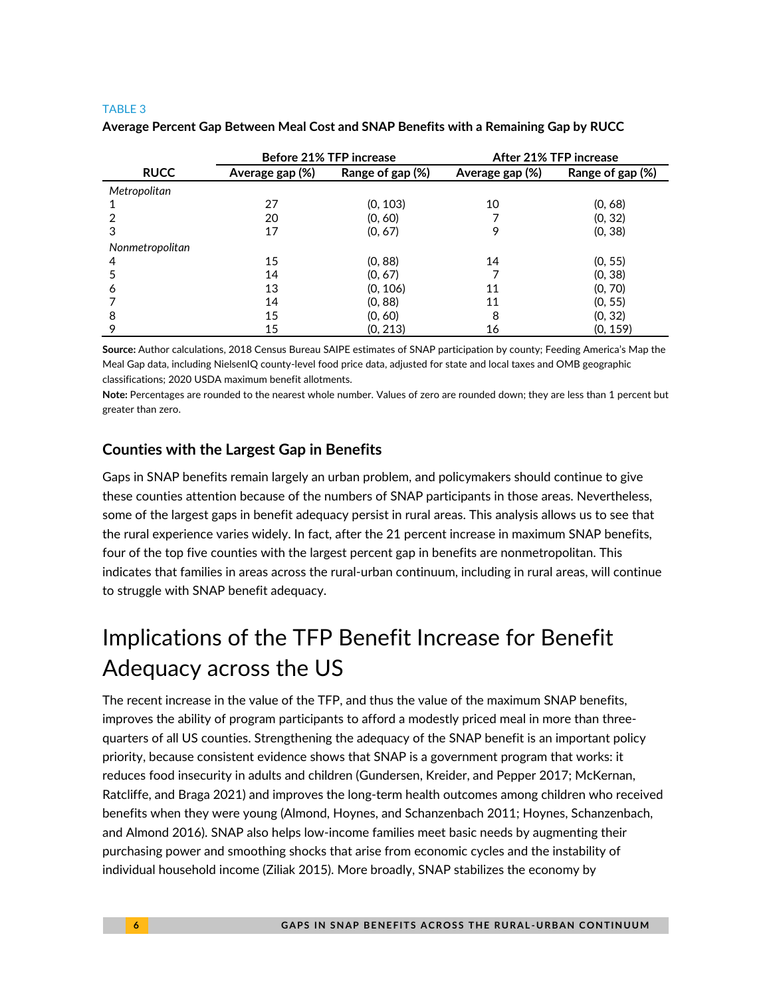### TABLE 3

|                 | <b>Before 21% TFP increase</b> |                  | After 21% TFP increase |                  |
|-----------------|--------------------------------|------------------|------------------------|------------------|
| <b>RUCC</b>     | Average gap (%)                | Range of gap (%) | Average gap (%)        | Range of gap (%) |
| Metropolitan    |                                |                  |                        |                  |
|                 | 27                             | (0, 103)         | 10                     | (0, 68)          |
|                 | 20                             | (0, 60)          |                        | (0, 32)          |
| З               | 17                             | (0, 67)          | 9                      | (0, 38)          |
| Nonmetropolitan |                                |                  |                        |                  |
| 4               | 15                             | (0, 88)          | 14                     | (0, 55)          |
| 5               | 14                             | (0, 67)          |                        | (0, 38)          |
| 6               | 13                             | (0, 106)         | 11                     | (0, 70)          |
|                 | 14                             | (0, 88)          | 11                     | (0, 55)          |
| 8               | 15                             | (0, 60)          | 8                      | (0, 32)          |
| 9               | 15                             | (0, 213)         | 16                     | (0, 159)         |

### **Average Percent Gap Between Meal Cost and SNAP Benefits with a Remaining Gap by RUCC**

**Source:** Author calculations, 2018 Census Bureau SAIPE estimates of SNAP participation by county; Feeding America's Map the Meal Gap data, including NielsenIQ county-level food price data, adjusted for state and local taxes and OMB geographic classifications; 2020 USDA maximum benefit allotments.

**Note:** Percentages are rounded to the nearest whole number. Values of zero are rounded down; they are less than 1 percent but greater than zero.

### **Counties with the Largest Gap in Benefits**

Gaps in SNAP benefits remain largely an urban problem, and policymakers should continue to give these counties attention because of the numbers of SNAP participants in those areas. Nevertheless, some of the largest gaps in benefit adequacy persist in rural areas. This analysis allows us to see that the rural experience varies widely. In fact, after the 21 percent increase in maximum SNAP benefits, four of the top five counties with the largest percent gap in benefits are nonmetropolitan. This indicates that families in areas across the rural-urban continuum, including in rural areas, will continue to struggle with SNAP benefit adequacy.

# Implications of the TFP Benefit Increase for Benefit Adequacy across the US

The recent increase in the value of the TFP, and thus the value of the maximum SNAP benefits, improves the ability of program participants to afford a modestly priced meal in more than threequarters of all US counties. Strengthening the adequacy of the SNAP benefit is an important policy priority, because consistent evidence shows that SNAP is a government program that works: it reduces food insecurity in adults and children (Gundersen, Kreider, and Pepper 2017; McKernan, Ratcliffe, and Braga 2021) and improves the long-term health outcomes among children who received benefits when they were young (Almond, Hoynes, and Schanzenbach 2011; Hoynes, Schanzenbach, and Almond 2016). SNAP also helps low-income families meet basic needs by augmenting their purchasing power and smoothing shocks that arise from economic cycles and the instability of individual household income (Ziliak 2015). More broadly, SNAP stabilizes the economy by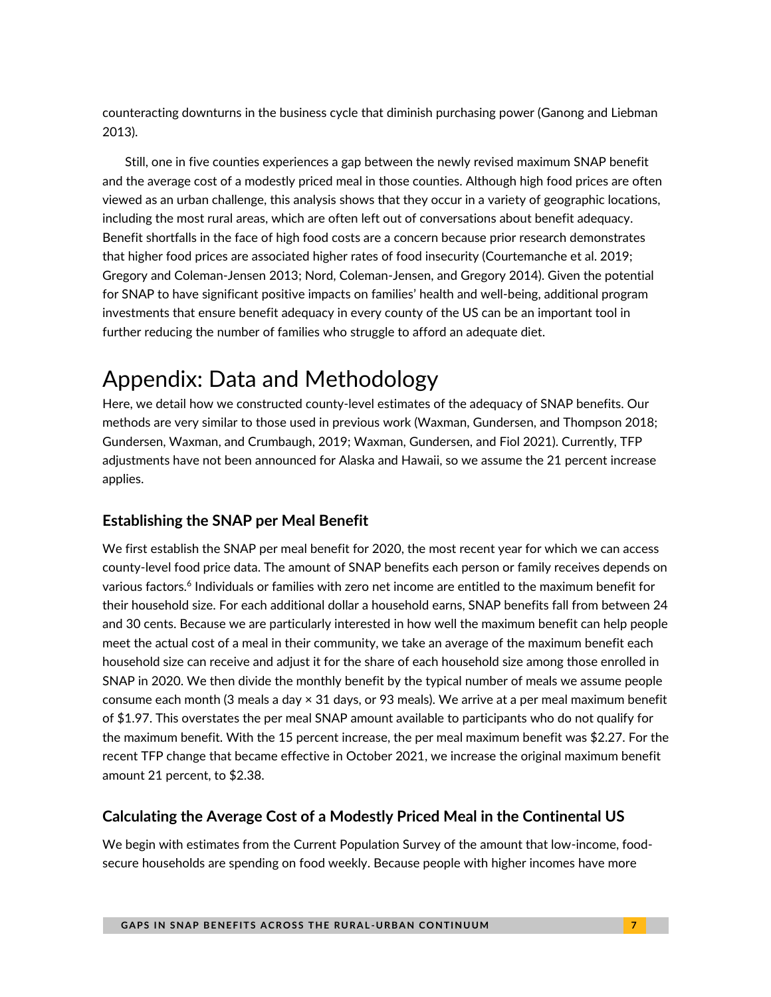counteracting downturns in the business cycle that diminish purchasing power (Ganong and Liebman 2013).

Still, one in five counties experiences a gap between the newly revised maximum SNAP benefit and the average cost of a modestly priced meal in those counties. Although high food prices are often viewed as an urban challenge, this analysis shows that they occur in a variety of geographic locations, including the most rural areas, which are often left out of conversations about benefit adequacy. Benefit shortfalls in the face of high food costs are a concern because prior research demonstrates that higher food prices are associated higher rates of food insecurity (Courtemanche et al. 2019; Gregory and Coleman-Jensen 2013; Nord, Coleman-Jensen, and Gregory 2014). Given the potential for SNAP to have significant positive impacts on families' health and well-being, additional program investments that ensure benefit adequacy in every county of the US can be an important tool in further reducing the number of families who struggle to afford an adequate diet.

# Appendix: Data and Methodology

Here, we detail how we constructed county-level estimates of the adequacy of SNAP benefits. Our methods are very similar to those used in previous work (Waxman, Gundersen, and Thompson 2018; Gundersen, Waxman, and Crumbaugh, 2019; Waxman, Gundersen, and Fiol 2021). Currently, TFP adjustments have not been announced for Alaska and Hawaii, so we assume the 21 percent increase applies.

# **Establishing the SNAP per Meal Benefit**

We first establish the SNAP per meal benefit for 2020, the most recent year for which we can access county-level food price data. The amount of SNAP benefits each person or family receives depends on various factors.<sup>6</sup> Individuals or families with zero net income are entitled to the maximum benefit for their household size. For each additional dollar a household earns, SNAP benefits fall from between 24 and 30 cents. Because we are particularly interested in how well the maximum benefit can help people meet the actual cost of a meal in their community, we take an average of the maximum benefit each household size can receive and adjust it for the share of each household size among those enrolled in SNAP in 2020. We then divide the monthly benefit by the typical number of meals we assume people consume each month (3 meals a day × 31 days, or 93 meals). We arrive at a per meal maximum benefit of \$1.97. This overstates the per meal SNAP amount available to participants who do not qualify for the maximum benefit. With the 15 percent increase, the per meal maximum benefit was \$2.27. For the recent TFP change that became effective in October 2021, we increase the original maximum benefit amount 21 percent, to \$2.38.

# **Calculating the Average Cost of a Modestly Priced Meal in the Continental US**

We begin with estimates from the Current Population Survey of the amount that low-income, foodsecure households are spending on food weekly. Because people with higher incomes have more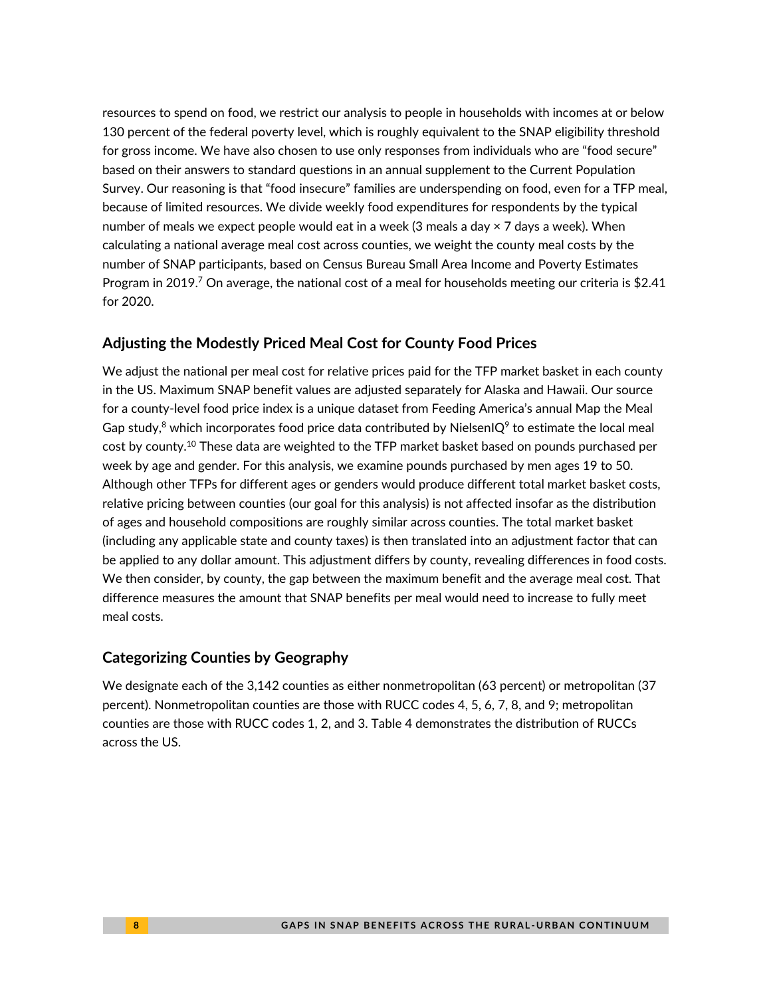resources to spend on food, we restrict our analysis to people in households with incomes at or below 130 percent of the federal poverty level, which is roughly equivalent to the SNAP eligibility threshold for gross income. We have also chosen to use only responses from individuals who are "food secure" based on their answers to standard questions in an annual supplement to the Current Population Survey. Our reasoning is that "food insecure" families are underspending on food, even for a TFP meal, because of limited resources. We divide weekly food expenditures for respondents by the typical number of meals we expect people would eat in a week (3 meals a day  $\times$  7 days a week). When calculating a national average meal cost across counties, we weight the county meal costs by the number of SNAP participants, based on Census Bureau Small Area Income and Poverty Estimates Program in 2019.<sup>7</sup> On average, the national cost of a meal for households meeting our criteria is \$2.41 for 2020.

### **Adjusting the Modestly Priced Meal Cost for County Food Prices**

We adjust the national per meal cost for relative prices paid for the TFP market basket in each county in the US. Maximum SNAP benefit values are adjusted separately for Alaska and Hawaii. Our source for a county-level food price index is a unique dataset from Feeding America's annual Map the Meal Gap study,<sup>8</sup> which incorporates food price data contributed by NielsenIQ<sup>9</sup> to estimate the local meal cost by county.<sup>10</sup> These data are weighted to the TFP market basket based on pounds purchased per week by age and gender. For this analysis, we examine pounds purchased by men ages 19 to 50. Although other TFPs for different ages or genders would produce different total market basket costs, relative pricing between counties (our goal for this analysis) is not affected insofar as the distribution of ages and household compositions are roughly similar across counties. The total market basket (including any applicable state and county taxes) is then translated into an adjustment factor that can be applied to any dollar amount. This adjustment differs by county, revealing differences in food costs. We then consider, by county, the gap between the maximum benefit and the average meal cost. That difference measures the amount that SNAP benefits per meal would need to increase to fully meet meal costs.

### **Categorizing Counties by Geography**

We designate each of the 3,142 counties as either nonmetropolitan (63 percent) or metropolitan (37 percent). Nonmetropolitan counties are those with RUCC codes 4, 5, 6, 7, 8, and 9; metropolitan counties are those with RUCC codes 1, 2, and 3. Table 4 demonstrates the distribution of RUCCs across the US.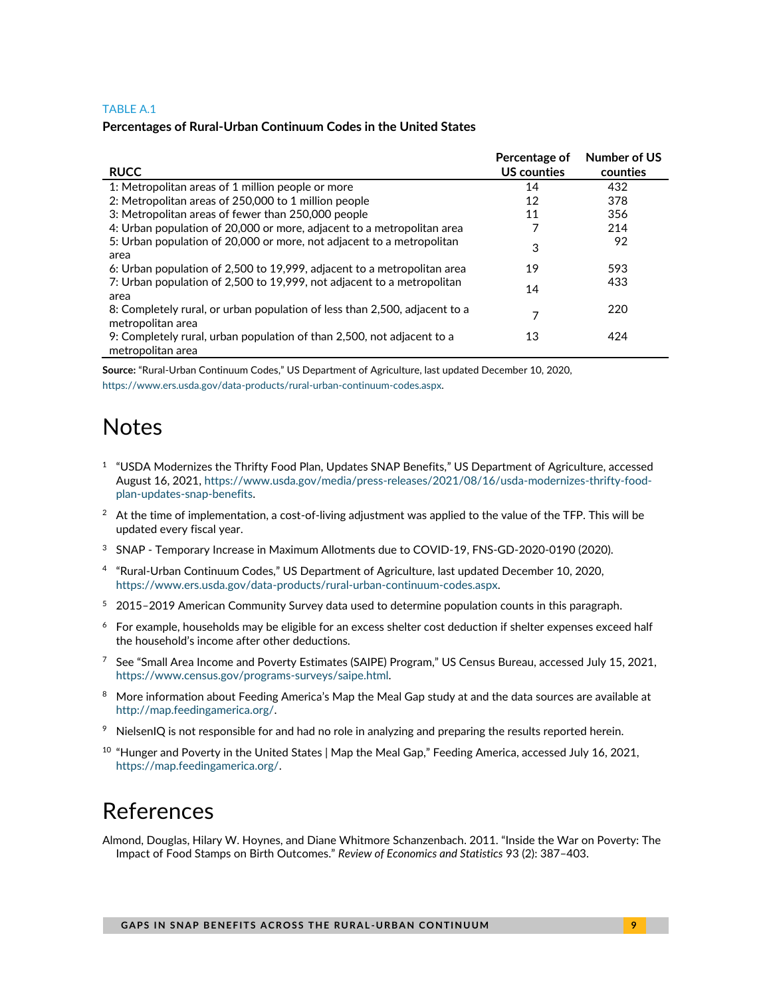#### TABLE A.1

#### **Percentages of Rural-Urban Continuum Codes in the United States**

| <b>RUCC</b>                                                                                     | Percentage of<br>US counties | <b>Number of US</b><br>counties |
|-------------------------------------------------------------------------------------------------|------------------------------|---------------------------------|
| 1: Metropolitan areas of 1 million people or more                                               | 14                           | 432                             |
| 2: Metropolitan areas of 250,000 to 1 million people                                            | 12                           | 378                             |
| 3: Metropolitan areas of fewer than 250,000 people                                              | 11                           | 356                             |
| 4: Urban population of 20,000 or more, adjacent to a metropolitan area                          |                              | 214                             |
| 5: Urban population of 20,000 or more, not adjacent to a metropolitan<br>area                   | 3                            | 92                              |
| 6: Urban population of 2,500 to 19,999, adjacent to a metropolitan area                         | 19                           | 593                             |
| 7: Urban population of 2,500 to 19,999, not adjacent to a metropolitan<br>area                  | 14                           | 433                             |
| 8: Completely rural, or urban population of less than 2,500, adjacent to a<br>metropolitan area |                              | 220                             |
| 9: Completely rural, urban population of than 2,500, not adjacent to a<br>metropolitan area     | 13                           | 424                             |

**Source:** "Rural-Urban Continuum Codes," US Department of Agriculture, last updated December 10, 2020, [https://www.ers.usda.gov/data-products/rural-urban-continuum-codes.aspx.](https://www.ers.usda.gov/data-products/rural-urban-continuum-codes.aspx)

# **Notes**

- 1 "USDA Modernizes the Thrifty Food Plan, Updates SNAP Benefits," US Department of Agriculture, accessed August 16, 2021[, https://www.usda.gov/media/press-releases/2021/08/16/usda-modernizes-thrifty-food](https://www.usda.gov/media/press-releases/2021/08/16/usda-modernizes-thrifty-food-plan-updates-snap-benefits)[plan-updates-snap-benefits.](https://www.usda.gov/media/press-releases/2021/08/16/usda-modernizes-thrifty-food-plan-updates-snap-benefits)
- $2$  At the time of implementation, a cost-of-living adjustment was applied to the value of the TFP. This will be updated every fiscal year.
- <sup>3</sup> SNAP Temporary Increase in Maximum Allotments due to COVID-19, FNS-GD-2020-0190 (2020).
- 4 "Rural-Urban Continuum Codes," US Department of Agriculture, last updated December 10, 2020, [https://www.ers.usda.gov/data-products/rural-urban-continuum-codes.aspx.](https://www.ers.usda.gov/data-products/rural-urban-continuum-codes.aspx)
- <sup>5</sup> 2015–2019 American Community Survey data used to determine population counts in this paragraph.
- $6$  For example, households may be eligible for an excess shelter cost deduction if shelter expenses exceed half the household's income after other deductions.
- $7$  See "Small Area Income and Poverty Estimates (SAIPE) Program," US Census Bureau, accessed July 15, 2021, [https://www.census.gov/programs-surveys/saipe.html.](https://www.census.gov/programs-surveys/saipe.html)
- <sup>8</sup> More information about Feeding America's Map the Meal Gap study at and the data sources are available at [http://map.feedingamerica.org/.](http://map.feedingamerica.org/)
- $9$  NielsenIQ is not responsible for and had no role in analyzing and preparing the results reported herein.
- $10$  "Hunger and Poverty in the United States | Map the Meal Gap," Feeding America, accessed July 16, 2021, [https://map.feedingamerica.org/.](https://map.feedingamerica.org/)

# References

Almond, Douglas, Hilary W. Hoynes, and Diane Whitmore Schanzenbach. 2011. "Inside the War on Poverty: The Impact of Food Stamps on Birth Outcomes." *Review of Economics and Statistics* 93 (2): 387–403.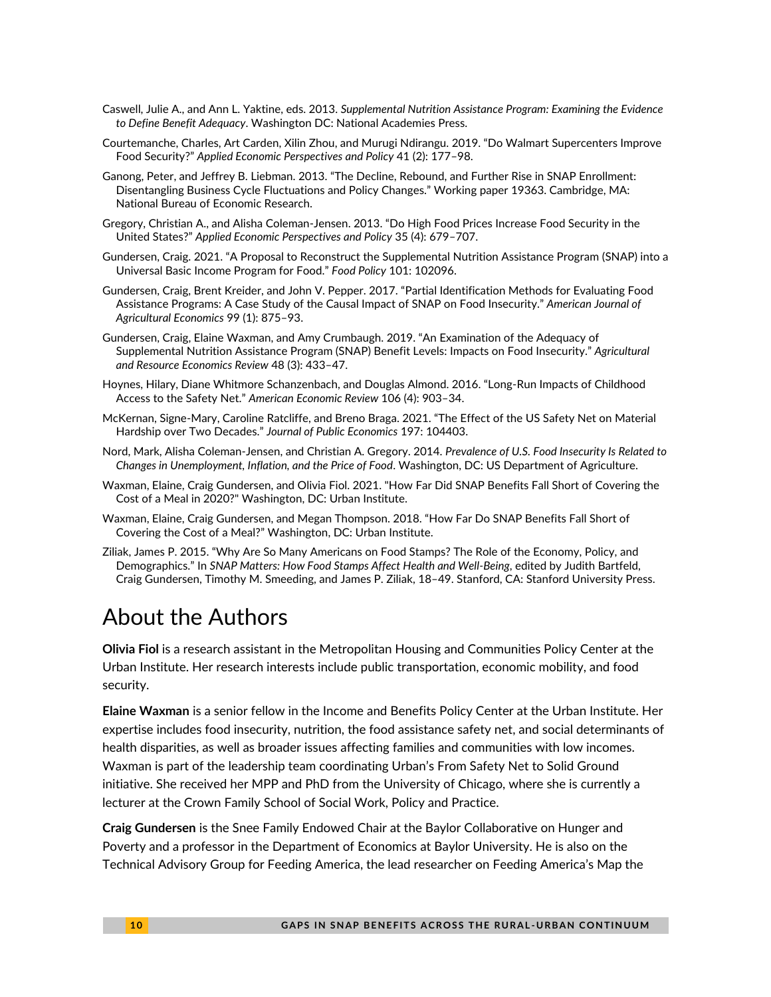- Caswell, Julie A., and Ann L. Yaktine, eds. 2013. *Supplemental Nutrition Assistance Program: Examining the Evidence to Define Benefit Adequacy*. Washington DC: National Academies Press.
- Courtemanche, Charles, Art Carden, Xilin Zhou, and Murugi Ndirangu. 2019. "Do Walmart Supercenters Improve Food Security?" *Applied Economic Perspectives and Policy* 41 (2): 177–98.
- Ganong, Peter, and Jeffrey B. Liebman. 2013. "The Decline, Rebound, and Further Rise in SNAP Enrollment: Disentangling Business Cycle Fluctuations and Policy Changes." Working paper 19363. Cambridge, MA: National Bureau of Economic Research.
- Gregory, Christian A., and Alisha Coleman-Jensen. 2013. "Do High Food Prices Increase Food Security in the United States?" *Applied Economic Perspectives and Policy* 35 (4): 679–707.
- Gundersen, Craig. 2021. "A Proposal to Reconstruct the Supplemental Nutrition Assistance Program (SNAP) into a Universal Basic Income Program for Food." *Food Policy* 101: 102096.
- Gundersen, Craig, Brent Kreider, and John V. Pepper. 2017. "Partial Identification Methods for Evaluating Food Assistance Programs: A Case Study of the Causal Impact of SNAP on Food Insecurity." *American Journal of Agricultural Economics* 99 (1): 875–93.
- Gundersen, Craig, Elaine Waxman, and Amy Crumbaugh. 2019. "An Examination of the Adequacy of Supplemental Nutrition Assistance Program (SNAP) Benefit Levels: Impacts on Food Insecurity." *Agricultural and Resource Economics Review* 48 (3): 433–47.
- Hoynes, Hilary, Diane Whitmore Schanzenbach, and Douglas Almond. 2016. "Long-Run Impacts of Childhood Access to the Safety Net." *American Economic Review* 106 (4): 903–34.
- McKernan, Signe-Mary, Caroline Ratcliffe, and Breno Braga. 2021. "The Effect of the US Safety Net on Material Hardship over Two Decades." *Journal of Public Economics* 197: 104403.
- Nord, Mark, Alisha Coleman-Jensen, and Christian A. Gregory. 2014. *Prevalence of U.S. Food Insecurity Is Related to Changes in Unemployment, Inflation, and the Price of Food*. Washington, DC: US Department of Agriculture.
- Waxman, Elaine, Craig Gundersen, and Olivia Fiol. 2021. "How Far Did SNAP Benefits Fall Short of Covering the Cost of a Meal in 2020?" Washington, DC: Urban Institute.
- Waxman, Elaine, Craig Gundersen, and Megan Thompson. 2018. "How Far Do SNAP Benefits Fall Short of Covering the Cost of a Meal?" Washington, DC: Urban Institute.
- Ziliak, James P. 2015. "Why Are So Many Americans on Food Stamps? The Role of the Economy, Policy, and Demographics." In *SNAP Matters: How Food Stamps Affect Health and Well-Being*, edited by Judith Bartfeld, Craig Gundersen, Timothy M. Smeeding, and James P. Ziliak, 18–49. Stanford, CA: Stanford University Press.

# About the Authors

**Olivia Fiol** is a research assistant in the Metropolitan Housing and Communities Policy Center at the Urban Institute. Her research interests include public transportation, economic mobility, and food security.

**Elaine Waxman** is a senior fellow in the Income and Benefits Policy Center at the Urban Institute. Her expertise includes food insecurity, nutrition, the food assistance safety net, and social determinants of health disparities, as well as broader issues affecting families and communities with low incomes. Waxman is part of the leadership team coordinating Urban's From Safety Net to Solid Ground initiative. She received her MPP and PhD from the University of Chicago, where she is currently a lecturer at the Crown Family School of Social Work, Policy and Practice.

**Craig Gundersen** is the Snee Family Endowed Chair at the Baylor Collaborative on Hunger and Poverty and a professor in the Department of Economics at Baylor University. He is also on the Technical Advisory Group for Feeding America, the lead researcher on Feeding America's Map the